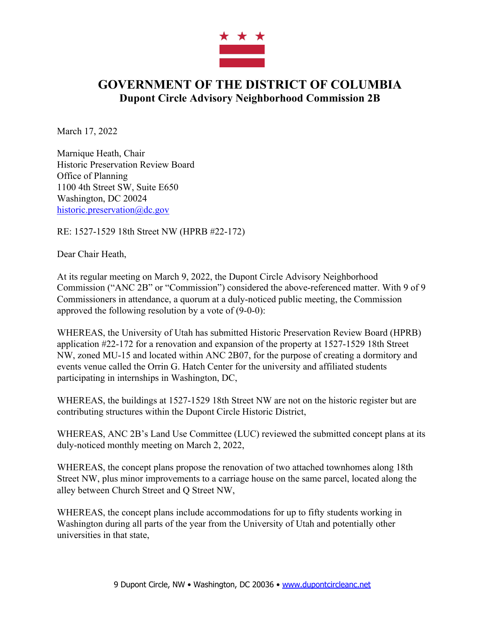

## **GOVERNMENT OF THE DISTRICT OF COLUMBIA Dupont Circle Advisory Neighborhood Commission 2B**

March 17, 2022

Marnique Heath, Chair Historic Preservation Review Board Office of Planning 1100 4th Street SW, Suite E650 Washington, DC 20024 historic.preservation@dc.gov

RE: 1527-1529 18th Street NW (HPRB #22-172)

Dear Chair Heath,

At its regular meeting on March 9, 2022, the Dupont Circle Advisory Neighborhood Commission ("ANC 2B" or "Commission") considered the above-referenced matter. With 9 of 9 Commissioners in attendance, a quorum at a duly-noticed public meeting, the Commission approved the following resolution by a vote of (9-0-0):

WHEREAS, the University of Utah has submitted Historic Preservation Review Board (HPRB) application #22-172 for a renovation and expansion of the property at 1527-1529 18th Street NW, zoned MU-15 and located within ANC 2B07, for the purpose of creating a dormitory and events venue called the Orrin G. Hatch Center for the university and affiliated students participating in internships in Washington, DC,

WHEREAS, the buildings at 1527-1529 18th Street NW are not on the historic register but are contributing structures within the Dupont Circle Historic District,

WHEREAS, ANC 2B's Land Use Committee (LUC) reviewed the submitted concept plans at its duly-noticed monthly meeting on March 2, 2022,

WHEREAS, the concept plans propose the renovation of two attached townhomes along 18th Street NW, plus minor improvements to a carriage house on the same parcel, located along the alley between Church Street and Q Street NW,

WHEREAS, the concept plans include accommodations for up to fifty students working in Washington during all parts of the year from the University of Utah and potentially other universities in that state,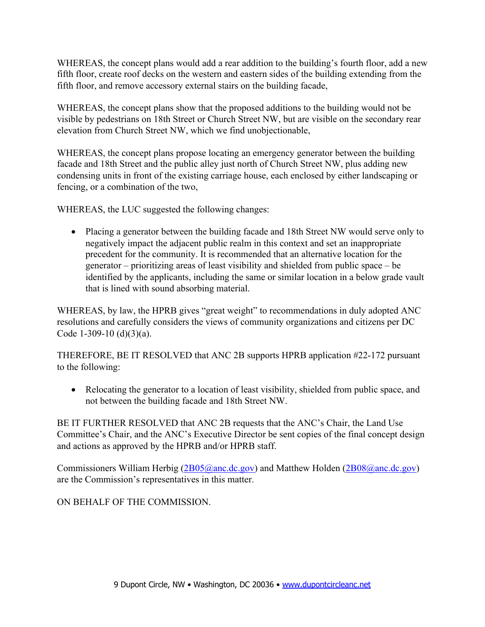WHEREAS, the concept plans would add a rear addition to the building's fourth floor, add a new fifth floor, create roof decks on the western and eastern sides of the building extending from the fifth floor, and remove accessory external stairs on the building facade,

WHEREAS, the concept plans show that the proposed additions to the building would not be visible by pedestrians on 18th Street or Church Street NW, but are visible on the secondary rear elevation from Church Street NW, which we find unobjectionable,

WHEREAS, the concept plans propose locating an emergency generator between the building facade and 18th Street and the public alley just north of Church Street NW, plus adding new condensing units in front of the existing carriage house, each enclosed by either landscaping or fencing, or a combination of the two,

WHEREAS, the LUC suggested the following changes:

• Placing a generator between the building facade and 18th Street NW would serve only to negatively impact the adjacent public realm in this context and set an inappropriate precedent for the community. It is recommended that an alternative location for the generator – prioritizing areas of least visibility and shielded from public space – be identified by the applicants, including the same or similar location in a below grade vault that is lined with sound absorbing material.

WHEREAS, by law, the HPRB gives "great weight" to recommendations in duly adopted ANC resolutions and carefully considers the views of community organizations and citizens per DC Code 1-309-10 (d)(3)(a).

THEREFORE, BE IT RESOLVED that ANC 2B supports HPRB application #22-172 pursuant to the following:

• Relocating the generator to a location of least visibility, shielded from public space, and not between the building facade and 18th Street NW.

BE IT FURTHER RESOLVED that ANC 2B requests that the ANC's Chair, the Land Use Committee's Chair, and the ANC's Executive Director be sent copies of the final concept design and actions as approved by the HPRB and/or HPRB staff.

Commissioners William Herbig (2B05@anc.dc.gov) and Matthew Holden (2B08@anc.dc.gov) are the Commission's representatives in this matter.

ON BEHALF OF THE COMMISSION.